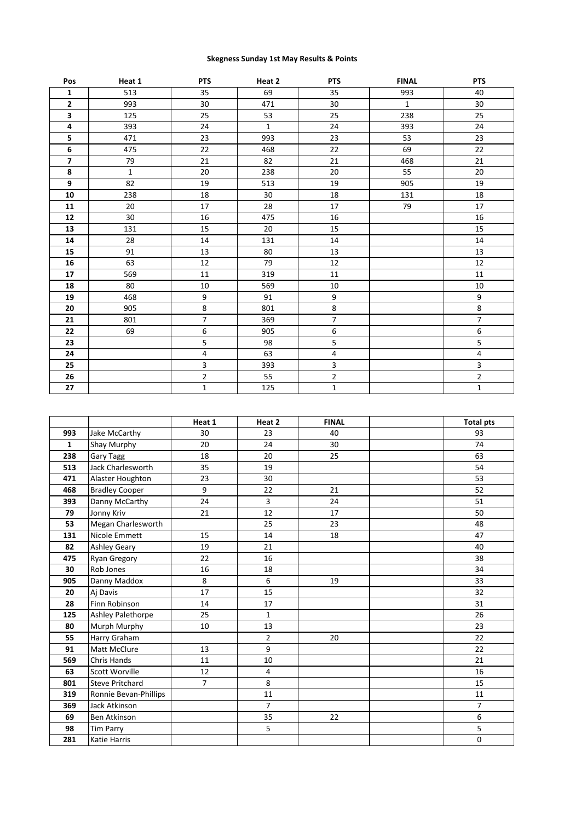## **Skegness Sunday 1st May Results & Points**

| Pos            | Heat 1       | <b>PTS</b>              | Heat 2       | <b>PTS</b>              | <b>FINAL</b> | <b>PTS</b>     |
|----------------|--------------|-------------------------|--------------|-------------------------|--------------|----------------|
| $\mathbf 1$    | 513          | 35                      | 69           | 35                      | 993          | 40             |
| $\overline{2}$ | 993          | 30                      | 471          | 30                      | $\mathbf{1}$ | 30             |
| 3              | 125          | 25                      | 53           | 25                      | 238          | 25             |
| 4              | 393          | 24                      | $\mathbf{1}$ | 24                      | 393          | 24             |
| 5              | 471          | 23                      | 993          | 23                      | 53           | 23             |
| 6              | 475          | 22                      | 468          | 22                      | 69           | 22             |
| $\overline{7}$ | 79           | 21                      | 82           | 21                      | 468          | 21             |
| 8              | $\mathbf{1}$ | 20                      | 238          | 20                      | 55           | 20             |
| 9              | 82           | 19                      | 513          | 19                      | 905          | 19             |
| 10             | 238          | 18                      | 30           | 18                      | 131          | 18             |
| 11             | 20           | 17                      | 28           | 17                      | 79           | 17             |
| 12             | 30           | 16                      | 475          | 16                      |              | 16             |
| 13             | 131          | 15                      | 20           | 15                      |              | 15             |
| 14             | 28           | 14                      | 131          | 14                      |              | 14             |
| 15             | 91           | 13                      | 80           | 13                      |              | 13             |
| 16             | 63           | 12                      | 79           | 12                      |              | 12             |
| 17             | 569          | $11\,$                  | 319          | $11\,$                  |              | $11\,$         |
| 18             | 80           | 10                      | 569          | $10\,$                  |              | 10             |
| 19             | 468          | 9                       | 91           | 9                       |              | 9              |
| 20             | 905          | 8                       | 801          | 8                       |              | 8              |
| 21             | 801          | $\overline{7}$          | 369          | $\overline{7}$          |              | $\overline{7}$ |
| 22             | 69           | 6                       | 905          | 6                       |              | 6              |
| 23             |              | 5                       | 98           | 5                       |              | 5              |
| 24             |              | $\pmb{4}$               | 63           | $\overline{\mathbf{4}}$ |              | 4              |
| 25             |              | $\overline{\mathbf{3}}$ | 393          | $\overline{\mathbf{3}}$ |              | 3              |
| 26             |              | $\overline{2}$          | 55           | $\overline{2}$          |              | $\overline{2}$ |
| 27             |              | $\mathbf{1}$            | 125          | $\mathbf 1$             |              | $\mathbf{1}$   |

|              |                        | Heat 1         | Heat 2         | <b>FINAL</b> | <b>Total pts</b> |
|--------------|------------------------|----------------|----------------|--------------|------------------|
| 993          | Jake McCarthy          | 30             | 23             | 40           | 93               |
| $\mathbf{1}$ | Shay Murphy            | 20             | 24             | 30           | 74               |
| 238          | <b>Gary Tagg</b>       | 18             | 20             | 25           | 63               |
| 513          | Jack Charlesworth      | 35             | 19             |              | 54               |
| 471          | Alaster Houghton       | 23             | 30             |              | 53               |
| 468          | <b>Bradley Cooper</b>  | 9              | 22             | 21           | 52               |
| 393          | Danny McCarthy         | 24             | 3              | 24           | 51               |
| 79           | Jonny Kriv             | 21             | 12             | 17           | 50               |
| 53           | Megan Charlesworth     |                | 25             | 23           | 48               |
| 131          | Nicole Emmett          | 15             | 14             | 18           | 47               |
| 82           | <b>Ashley Geary</b>    | 19             | 21             |              | 40               |
| 475          | Ryan Gregory           | 22             | 16             |              | 38               |
| 30           | Rob Jones              | 16             | 18             |              | 34               |
| 905          | Danny Maddox           | 8              | 6              | 19           | 33               |
| 20           | Aj Davis               | 17             | 15             |              | 32               |
| 28           | Finn Robinson          | 14             | 17             |              | 31               |
| 125          | Ashley Palethorpe      | 25             | $\mathbf{1}$   |              | 26               |
| 80           | Murph Murphy           | 10             | 13             |              | 23               |
| 55           | Harry Graham           |                | $\overline{2}$ | 20           | 22               |
| 91           | Matt McClure           | 13             | 9              |              | 22               |
| 569          | Chris Hands            | 11             | 10             |              | 21               |
| 63           | <b>Scott Worville</b>  | 12             | 4              |              | 16               |
| 801          | <b>Steve Pritchard</b> | $\overline{7}$ | 8              |              | 15               |
| 319          | Ronnie Bevan-Phillips  |                | 11             |              | 11               |
| 369          | <b>Jack Atkinson</b>   |                | $\overline{7}$ |              | $\overline{7}$   |
| 69           | Ben Atkinson           |                | 35             | 22           | 6                |
| 98           | <b>Tim Parry</b>       |                | 5              |              | 5                |
| 281          | <b>Katie Harris</b>    |                |                |              | $\mathbf 0$      |